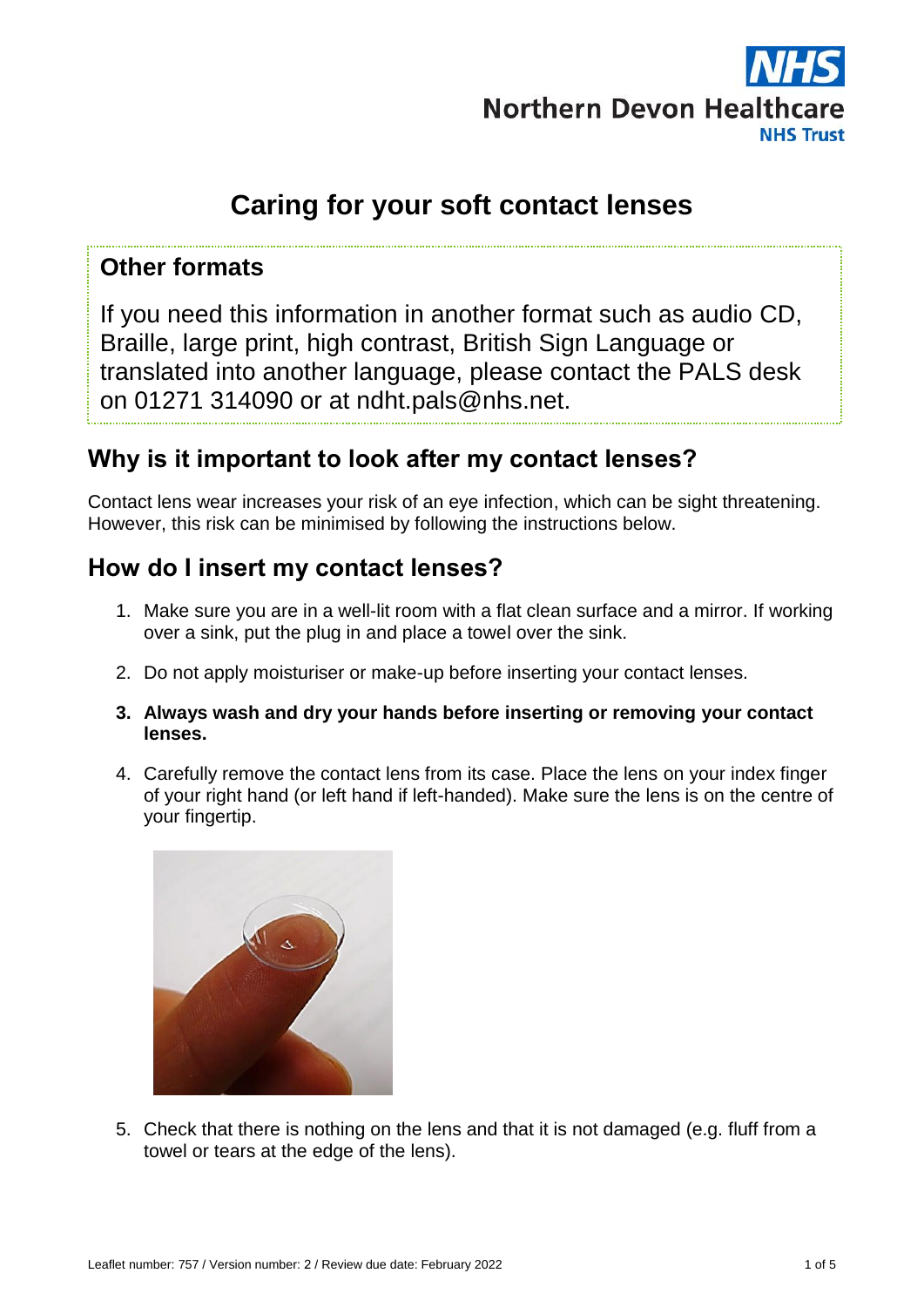

# **Caring for your soft contact lenses**

#### **Other formats**

If you need this information in another format such as audio CD, Braille, large print, high contrast, British Sign Language or translated into another language, please contact the PALS desk on 01271 314090 or at ndht.pals@nhs.net.

### **Why is it important to look after my contact lenses?**

Contact lens wear increases your risk of an eye infection, which can be sight threatening. However, this risk can be minimised by following the instructions below.

# **How do I insert my contact lenses?**

- 1. Make sure you are in a well-lit room with a flat clean surface and a mirror. If working over a sink, put the plug in and place a towel over the sink.
- 2. Do not apply moisturiser or make-up before inserting your contact lenses.
- **3. Always wash and dry your hands before inserting or removing your contact lenses.**
- 4. Carefully remove the contact lens from its case. Place the lens on your index finger of your right hand (or left hand if left-handed). Make sure the lens is on the centre of your fingertip.



5. Check that there is nothing on the lens and that it is not damaged (e.g. fluff from a towel or tears at the edge of the lens).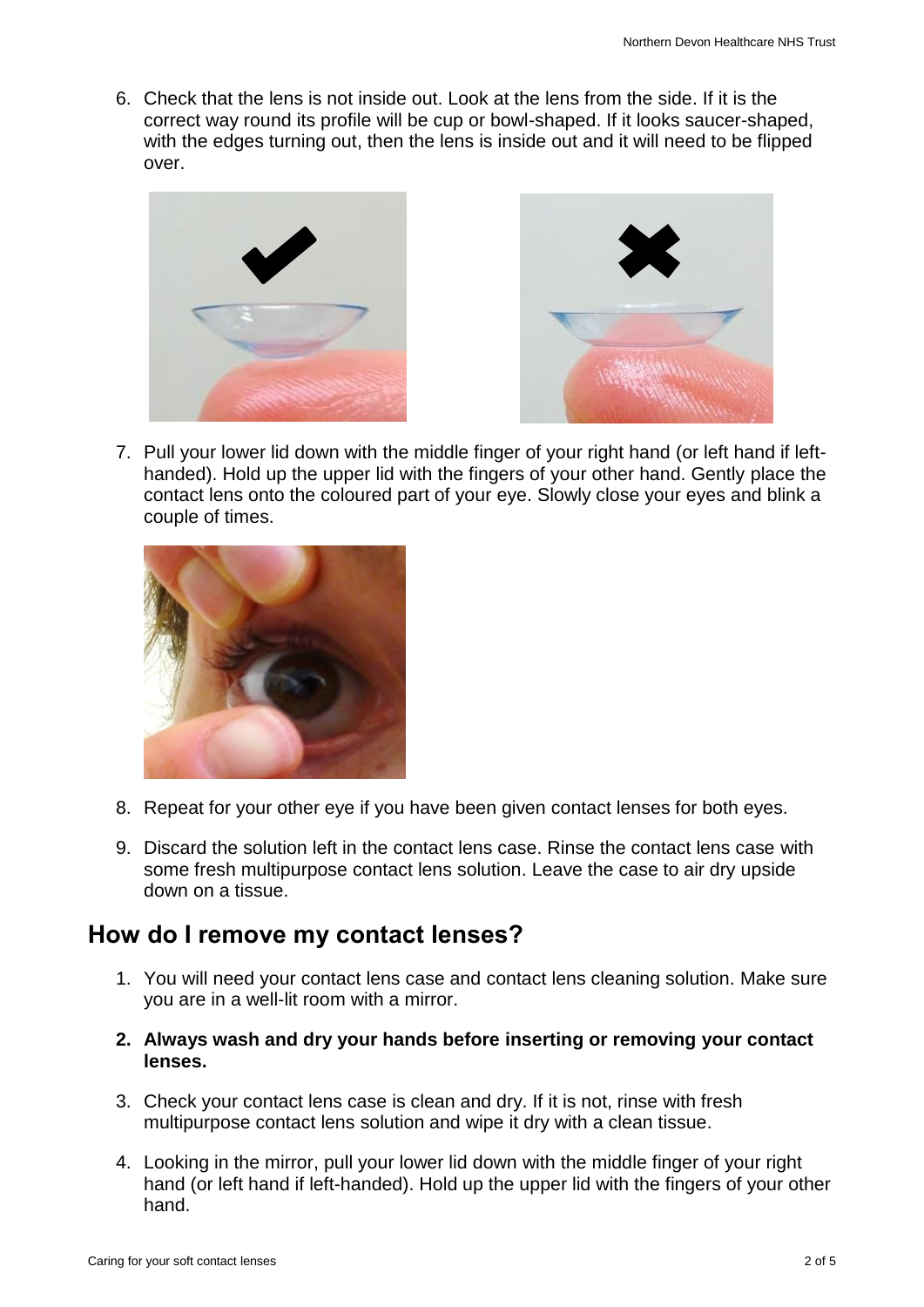6. Check that the lens is not inside out. Look at the lens from the side. If it is the correct way round its profile will be cup or bowl-shaped. If it looks saucer-shaped, with the edges turning out, then the lens is inside out and it will need to be flipped over.





7. Pull your lower lid down with the middle finger of your right hand (or left hand if lefthanded). Hold up the upper lid with the fingers of your other hand. Gently place the contact lens onto the coloured part of your eye. Slowly close your eyes and blink a couple of times.



- 8. Repeat for your other eye if you have been given contact lenses for both eyes.
- 9. Discard the solution left in the contact lens case. Rinse the contact lens case with some fresh multipurpose contact lens solution. Leave the case to air dry upside down on a tissue.

### **How do I remove my contact lenses?**

- 1. You will need your contact lens case and contact lens cleaning solution. Make sure you are in a well-lit room with a mirror.
- **2. Always wash and dry your hands before inserting or removing your contact lenses.**
- 3. Check your contact lens case is clean and dry. If it is not, rinse with fresh multipurpose contact lens solution and wipe it dry with a clean tissue.
- 4. Looking in the mirror, pull your lower lid down with the middle finger of your right hand (or left hand if left-handed). Hold up the upper lid with the fingers of your other hand.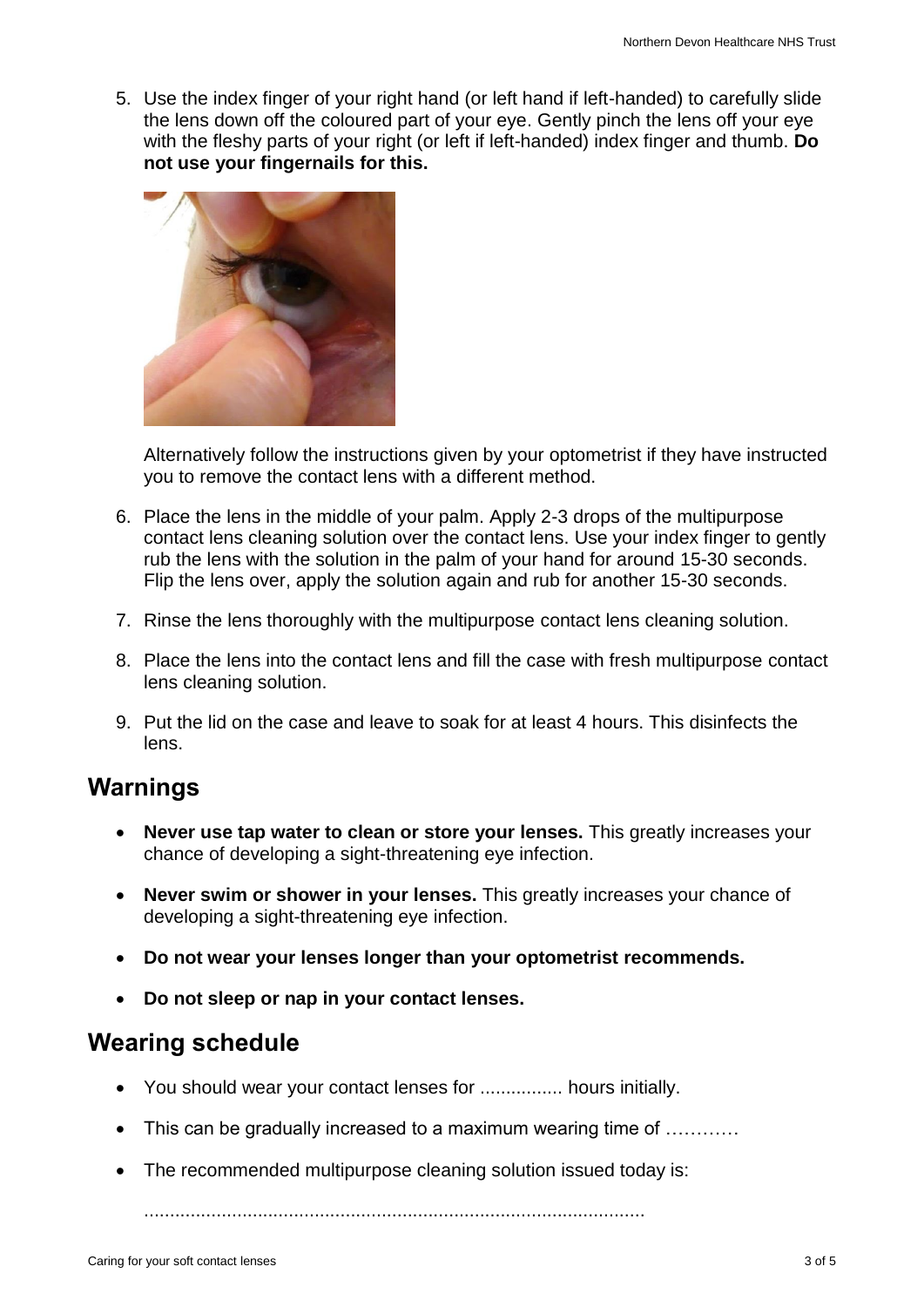5. Use the index finger of your right hand (or left hand if left-handed) to carefully slide the lens down off the coloured part of your eye. Gently pinch the lens off your eye with the fleshy parts of your right (or left if left-handed) index finger and thumb. **Do not use your fingernails for this.**



Alternatively follow the instructions given by your optometrist if they have instructed you to remove the contact lens with a different method.

- 6. Place the lens in the middle of your palm. Apply 2-3 drops of the multipurpose contact lens cleaning solution over the contact lens. Use your index finger to gently rub the lens with the solution in the palm of your hand for around 15-30 seconds. Flip the lens over, apply the solution again and rub for another 15-30 seconds.
- 7. Rinse the lens thoroughly with the multipurpose contact lens cleaning solution.
- 8. Place the lens into the contact lens and fill the case with fresh multipurpose contact lens cleaning solution.
- 9. Put the lid on the case and leave to soak for at least 4 hours. This disinfects the lens.

### **Warnings**

- **Never use tap water to clean or store your lenses.** This greatly increases your chance of developing a sight-threatening eye infection.
- **Never swim or shower in your lenses.** This greatly increases your chance of developing a sight-threatening eye infection.
- **Do not wear your lenses longer than your optometrist recommends.**
- **Do not sleep or nap in your contact lenses.**

#### **Wearing schedule**

- You should wear your contact lenses for ................ hours initially.
- This can be gradually increased to a maximum wearing time of ...........
- The recommended multipurpose cleaning solution issued today is:

.................................................................................................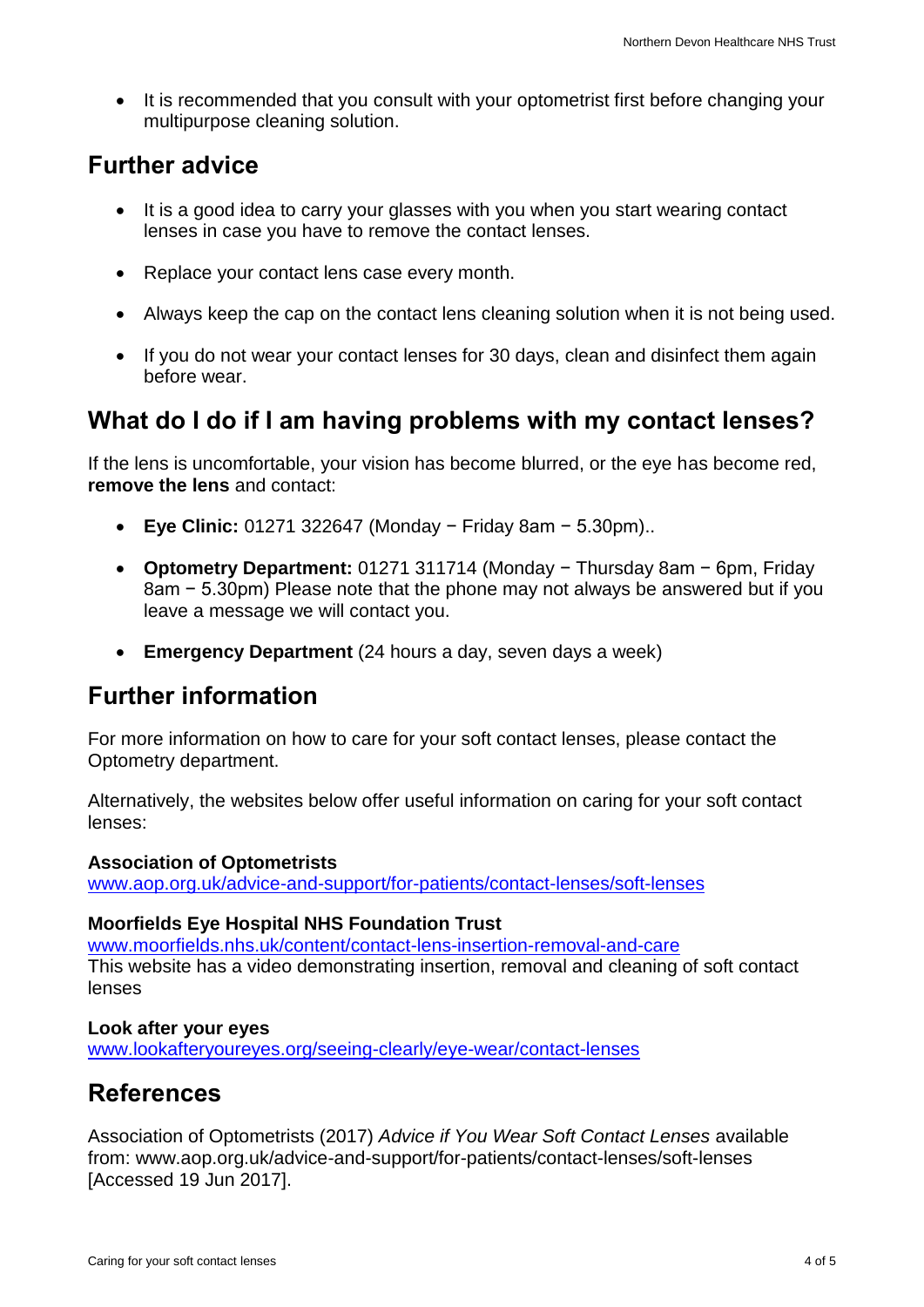It is recommended that you consult with your optometrist first before changing your multipurpose cleaning solution.

#### **Further advice**

- It is a good idea to carry your glasses with you when you start wearing contact lenses in case you have to remove the contact lenses.
- Replace your contact lens case every month.
- Always keep the cap on the contact lens cleaning solution when it is not being used.
- If you do not wear your contact lenses for 30 days, clean and disinfect them again before wear.

# **What do I do if I am having problems with my contact lenses?**

If the lens is uncomfortable, your vision has become blurred, or the eye has become red, **remove the lens** and contact:

- **Eye Clinic:** 01271 322647 (Monday − Friday 8am − 5.30pm)..
- **Optometry Department:** 01271 311714 (Monday − Thursday 8am − 6pm, Friday 8am − 5.30pm) Please note that the phone may not always be answered but if you leave a message we will contact you.
- **Emergency Department** (24 hours a day, seven days a week)

### **Further information**

For more information on how to care for your soft contact lenses, please contact the Optometry department.

Alternatively, the websites below offer useful information on caring for your soft contact lenses:

#### **Association of Optometrists**

[www.aop.org.uk/advice-and-support/for-patients/contact-lenses/soft-lenses](http://www.aop.org.uk/advice-and-support/for-patients/contact-lenses/soft-lenses)

#### **Moorfields Eye Hospital NHS Foundation Trust**

[www.moorfields.nhs.uk/content/contact-lens-insertion-removal-and-care](http://www.moorfields.nhs.uk/content/contact-lens-insertion-removal-and-care) This website has a video demonstrating insertion, removal and cleaning of soft contact lenses

#### **Look after your eyes**

[www.lookafteryoureyes.org/seeing-clearly/eye-wear/contact-lenses](http://www.lookafteryoureyes.org/seeing-clearly/eye-wear/contact-lenses)

### **References**

Association of Optometrists (2017) *Advice if You Wear Soft Contact Lenses* available from: www.aop.org.uk/advice-and-support/for-patients/contact-lenses/soft-lenses [Accessed 19 Jun 2017].